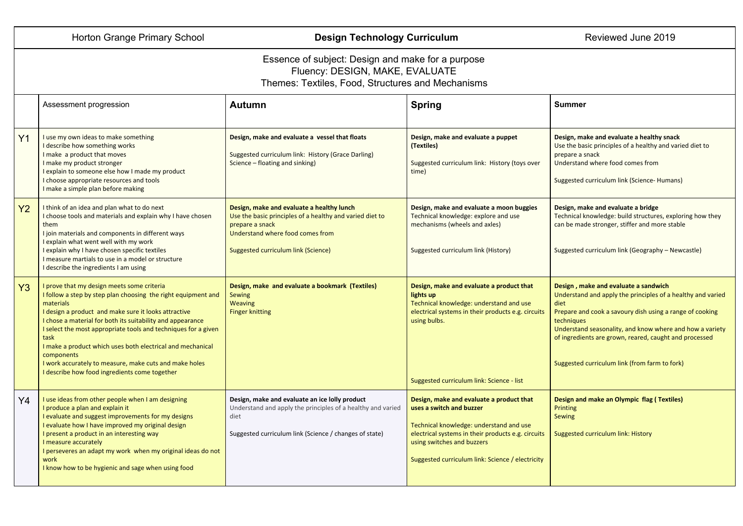## Horton Grange Primary School **Design Technology Curriculum** Reviewed June 2019

## Essence of subject: Design and make for a purpose Fluency: DESIGN, MAKE, EVALUATE Themes: Textiles, Food, Structures and Mechanisms

|                | Assessment progression                                                                                                                                                                                                                                                                                                                                                                                                                                                                                          | Autumn                                                                                                                                                                                              | <b>Spring</b>                                                                                                                                                                                                                                           | <b>Summer</b>                                                                                                                                                                                                                                                                                                                                                |
|----------------|-----------------------------------------------------------------------------------------------------------------------------------------------------------------------------------------------------------------------------------------------------------------------------------------------------------------------------------------------------------------------------------------------------------------------------------------------------------------------------------------------------------------|-----------------------------------------------------------------------------------------------------------------------------------------------------------------------------------------------------|---------------------------------------------------------------------------------------------------------------------------------------------------------------------------------------------------------------------------------------------------------|--------------------------------------------------------------------------------------------------------------------------------------------------------------------------------------------------------------------------------------------------------------------------------------------------------------------------------------------------------------|
| Y <sub>1</sub> | I use my own ideas to make something<br>I describe how something works<br>I make a product that moves<br>I make my product stronger<br>I explain to someone else how I made my product<br>I choose appropriate resources and tools<br>I make a simple plan before making                                                                                                                                                                                                                                        | Design, make and evaluate a vessel that floats<br>Suggested curriculum link: History (Grace Darling)<br>Science - floating and sinking)                                                             | Design, make and evaluate a puppet<br>(Textiles)<br>Suggested curriculum link: History (toys over<br>time)                                                                                                                                              | Design, make and evaluate a healthy snack<br>Use the basic principles of a healthy and varied diet to<br>prepare a snack<br>Understand where food comes from<br>Suggested curriculum link (Science- Humans)                                                                                                                                                  |
| Y <sub>2</sub> | I think of an idea and plan what to do next<br>I choose tools and materials and explain why I have chosen<br>them<br>I join materials and components in different ways<br>I explain what went well with my work<br>I explain why I have chosen specific textiles<br>I measure martials to use in a model or structure<br>I describe the ingredients I am using                                                                                                                                                  | Design, make and evaluate a healthy lunch<br>Use the basic principles of a healthy and varied diet to<br>prepare a snack<br>Understand where food comes from<br>Suggested curriculum link (Science) | Design, make and evaluate a moon buggies<br>Technical knowledge: explore and use<br>mechanisms (wheels and axles)<br>Suggested curriculum link (History)                                                                                                | Design, make and evaluate a bridge<br>Technical knowledge: build structures, exploring how they<br>can be made stronger, stiffer and more stable<br>Suggested curriculum link (Geography - Newcastle)                                                                                                                                                        |
| Y3             | I prove that my design meets some criteria<br>I follow a step by step plan choosing the right equipment and<br>materials<br>I design a product and make sure it looks attractive<br>I chose a material for both its suitability and appearance<br>I select the most appropriate tools and techniques for a given<br>task<br>I make a product which uses both electrical and mechanical<br>components<br>I work accurately to measure, make cuts and make holes<br>I describe how food ingredients come together | Design, make and evaluate a bookmark (Textiles)<br><b>Sewing</b><br><b>Weaving</b><br><b>Finger knitting</b>                                                                                        | Design, make and evaluate a product that<br>lights up<br>Technical knowledge: understand and use<br>electrical systems in their products e.g. circuits<br>using bulbs.<br>Suggested curriculum link: Science - list                                     | Design, make and evaluate a sandwich<br>Understand and apply the principles of a healthy and varied<br>diet<br>Prepare and cook a savoury dish using a range of cooking<br>techniques<br>Understand seasonality, and know where and how a variety<br>of ingredients are grown, reared, caught and processed<br>Suggested curriculum link (from farm to fork) |
| Y4             | I use ideas from other people when I am designing<br>I produce a plan and explain it<br>I evaluate and suggest improvements for my designs<br>I evaluate how I have improved my original design<br>I present a product in an interesting way<br>I measure accurately<br>I perseveres an adapt my work when my original ideas do not<br>work<br>I know how to be hygienic and sage when using food                                                                                                               | Design, make and evaluate an ice lolly product<br>Understand and apply the principles of a healthy and varied<br>diet<br>Suggested curriculum link (Science / changes of state)                     | Design, make and evaluate a product that<br>uses a switch and buzzer<br>Technical knowledge: understand and use<br>electrical systems in their products e.g. circuits<br>using switches and buzzers<br>Suggested curriculum link: Science / electricity | Design and make an Olympic flag (Textiles)<br>Printing<br>Sewing<br>Suggested curriculum link: History                                                                                                                                                                                                                                                       |